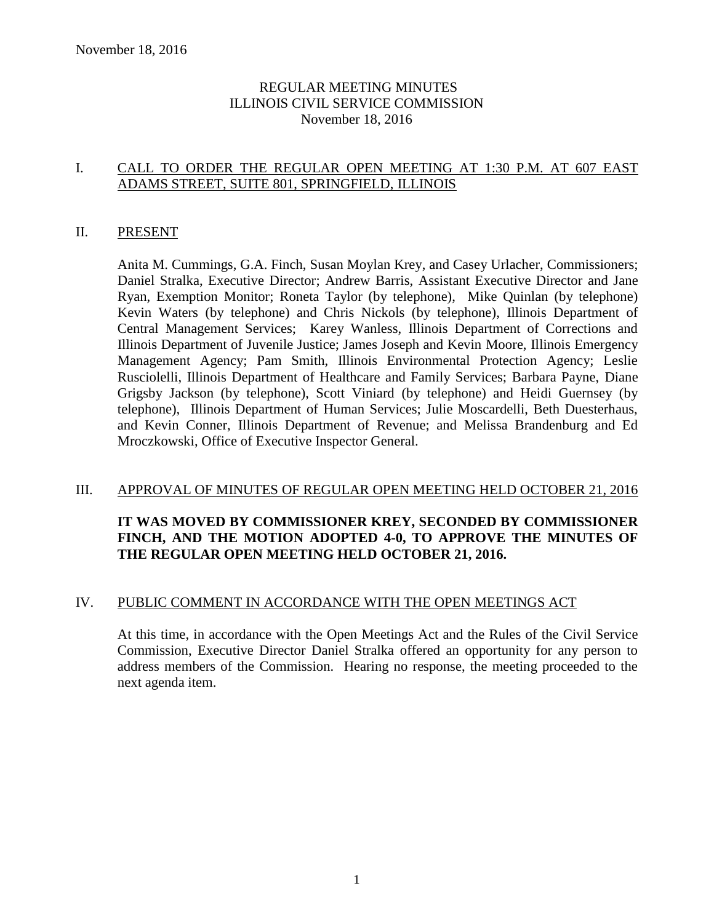# REGULAR MEETING MINUTES ILLINOIS CIVIL SERVICE COMMISSION November 18, 2016

# I. CALL TO ORDER THE REGULAR OPEN MEETING AT 1:30 P.M. AT 607 EAST ADAMS STREET, SUITE 801, SPRINGFIELD, ILLINOIS

### II. PRESENT

Anita M. Cummings, G.A. Finch, Susan Moylan Krey, and Casey Urlacher, Commissioners; Daniel Stralka, Executive Director; Andrew Barris, Assistant Executive Director and Jane Ryan, Exemption Monitor; Roneta Taylor (by telephone), Mike Quinlan (by telephone) Kevin Waters (by telephone) and Chris Nickols (by telephone), Illinois Department of Central Management Services; Karey Wanless, Illinois Department of Corrections and Illinois Department of Juvenile Justice; James Joseph and Kevin Moore, Illinois Emergency Management Agency; Pam Smith, Illinois Environmental Protection Agency; Leslie Rusciolelli, Illinois Department of Healthcare and Family Services; Barbara Payne, Diane Grigsby Jackson (by telephone), Scott Viniard (by telephone) and Heidi Guernsey (by telephone), Illinois Department of Human Services; Julie Moscardelli, Beth Duesterhaus, and Kevin Conner, Illinois Department of Revenue; and Melissa Brandenburg and Ed Mroczkowski, Office of Executive Inspector General.

#### III. APPROVAL OF MINUTES OF REGULAR OPEN MEETING HELD OCTOBER 21, 2016

# **IT WAS MOVED BY COMMISSIONER KREY, SECONDED BY COMMISSIONER FINCH, AND THE MOTION ADOPTED 4-0, TO APPROVE THE MINUTES OF THE REGULAR OPEN MEETING HELD OCTOBER 21, 2016.**

#### IV. PUBLIC COMMENT IN ACCORDANCE WITH THE OPEN MEETINGS ACT

At this time, in accordance with the Open Meetings Act and the Rules of the Civil Service Commission, Executive Director Daniel Stralka offered an opportunity for any person to address members of the Commission. Hearing no response, the meeting proceeded to the next agenda item.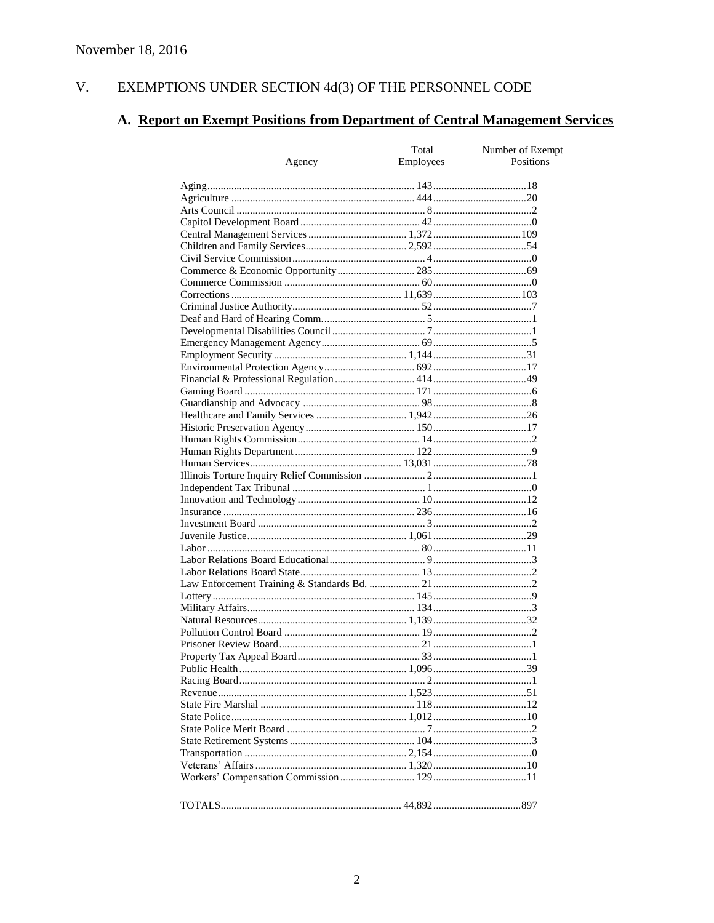#### $V<sub>r</sub>$ EXEMPTIONS UNDER SECTION 4d(3) OF THE PERSONNEL CODE

# A. Report on Exempt Positions from Department of Central Management Services

|        | Total     | Number of Exempt |
|--------|-----------|------------------|
| Agency | Employees | Positions        |
|        |           |                  |
|        |           |                  |
|        |           |                  |
|        |           |                  |
|        |           |                  |
|        |           |                  |
|        |           |                  |
|        |           |                  |
|        |           |                  |
|        |           |                  |
|        |           |                  |
|        |           |                  |
|        |           |                  |
|        |           |                  |
|        |           |                  |
|        |           |                  |
|        |           |                  |
|        |           |                  |
|        |           |                  |
|        |           |                  |
|        |           |                  |
|        |           |                  |
|        |           |                  |
|        |           |                  |
|        |           |                  |
|        |           |                  |
|        |           |                  |
|        |           |                  |
|        |           |                  |
|        |           |                  |
|        |           |                  |
|        |           |                  |
|        |           |                  |
|        |           |                  |
|        |           |                  |
|        |           |                  |
|        |           |                  |
|        |           |                  |
|        |           |                  |
|        |           |                  |
|        |           |                  |
|        |           |                  |
|        |           |                  |
|        |           |                  |
|        |           |                  |
|        |           |                  |
|        |           |                  |
|        |           |                  |
|        |           |                  |
|        |           |                  |
|        |           |                  |
|        |           |                  |
|        |           |                  |
|        |           |                  |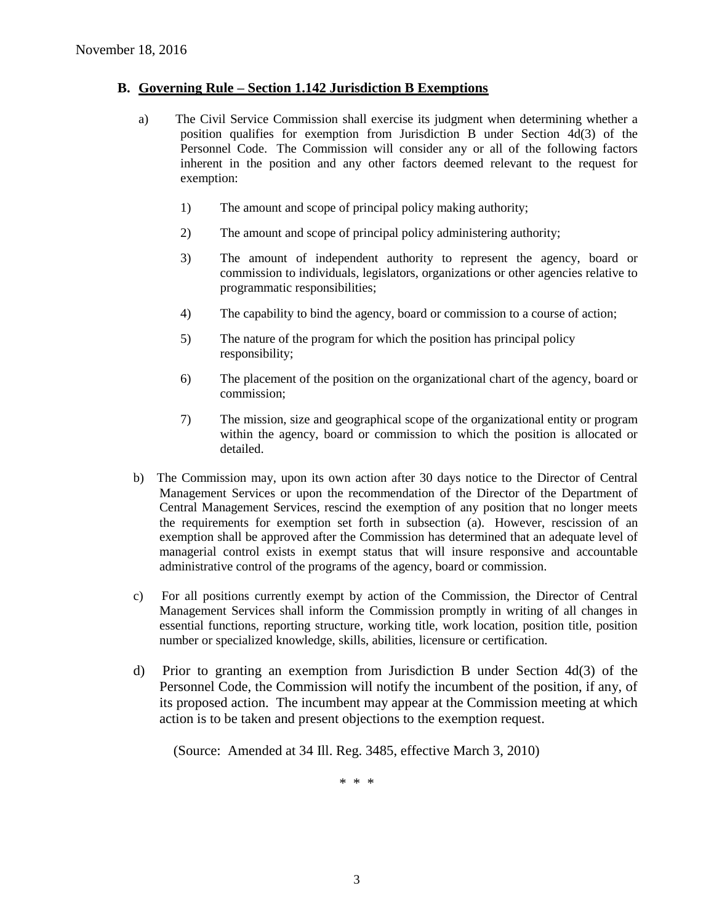#### **B. Governing Rule – Section 1.142 Jurisdiction B Exemptions**

- a) The Civil Service Commission shall exercise its judgment when determining whether a position qualifies for exemption from Jurisdiction B under Section 4d(3) of the Personnel Code. The Commission will consider any or all of the following factors inherent in the position and any other factors deemed relevant to the request for exemption:
	- 1) The amount and scope of principal policy making authority;
	- 2) The amount and scope of principal policy administering authority;
	- 3) The amount of independent authority to represent the agency, board or commission to individuals, legislators, organizations or other agencies relative to programmatic responsibilities;
	- 4) The capability to bind the agency, board or commission to a course of action;
	- 5) The nature of the program for which the position has principal policy responsibility;
	- 6) The placement of the position on the organizational chart of the agency, board or commission;
	- 7) The mission, size and geographical scope of the organizational entity or program within the agency, board or commission to which the position is allocated or detailed.
- b) The Commission may, upon its own action after 30 days notice to the Director of Central Management Services or upon the recommendation of the Director of the Department of Central Management Services, rescind the exemption of any position that no longer meets the requirements for exemption set forth in subsection (a). However, rescission of an exemption shall be approved after the Commission has determined that an adequate level of managerial control exists in exempt status that will insure responsive and accountable administrative control of the programs of the agency, board or commission.
- c) For all positions currently exempt by action of the Commission, the Director of Central Management Services shall inform the Commission promptly in writing of all changes in essential functions, reporting structure, working title, work location, position title, position number or specialized knowledge, skills, abilities, licensure or certification.
- d) Prior to granting an exemption from Jurisdiction B under Section 4d(3) of the Personnel Code, the Commission will notify the incumbent of the position, if any, of its proposed action. The incumbent may appear at the Commission meeting at which action is to be taken and present objections to the exemption request.

(Source: Amended at 34 Ill. Reg. 3485, effective March 3, 2010)

\* \* \*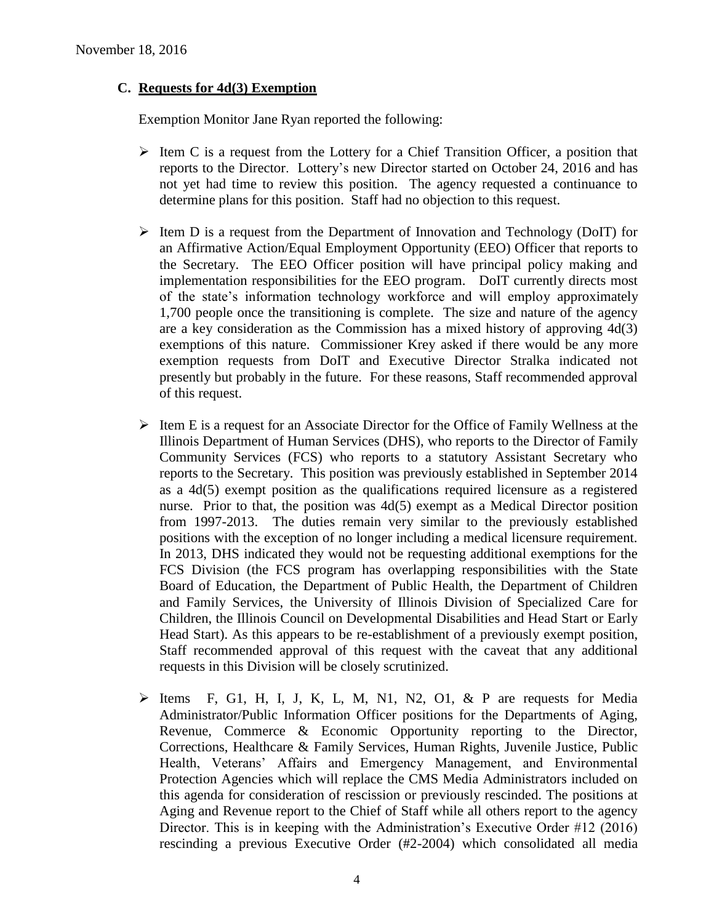# **C. Requests for 4d(3) Exemption**

Exemption Monitor Jane Ryan reported the following:

- $\triangleright$  Item C is a request from the Lottery for a Chief Transition Officer, a position that reports to the Director. Lottery's new Director started on October 24, 2016 and has not yet had time to review this position. The agency requested a continuance to determine plans for this position. Staff had no objection to this request.
- $\triangleright$  Item D is a request from the Department of Innovation and Technology (DoIT) for an Affirmative Action/Equal Employment Opportunity (EEO) Officer that reports to the Secretary. The EEO Officer position will have principal policy making and implementation responsibilities for the EEO program. DoIT currently directs most of the state's information technology workforce and will employ approximately 1,700 people once the transitioning is complete. The size and nature of the agency are a key consideration as the Commission has a mixed history of approving 4d(3) exemptions of this nature. Commissioner Krey asked if there would be any more exemption requests from DoIT and Executive Director Stralka indicated not presently but probably in the future. For these reasons, Staff recommended approval of this request.
- $\triangleright$  Item E is a request for an Associate Director for the Office of Family Wellness at the Illinois Department of Human Services (DHS), who reports to the Director of Family Community Services (FCS) who reports to a statutory Assistant Secretary who reports to the Secretary. This position was previously established in September 2014 as a 4d(5) exempt position as the qualifications required licensure as a registered nurse. Prior to that, the position was 4d(5) exempt as a Medical Director position from 1997-2013. The duties remain very similar to the previously established positions with the exception of no longer including a medical licensure requirement. In 2013, DHS indicated they would not be requesting additional exemptions for the FCS Division (the FCS program has overlapping responsibilities with the State Board of Education, the Department of Public Health, the Department of Children and Family Services, the University of Illinois Division of Specialized Care for Children, the Illinois Council on Developmental Disabilities and Head Start or Early Head Start). As this appears to be re-establishment of a previously exempt position, Staff recommended approval of this request with the caveat that any additional requests in this Division will be closely scrutinized.
- $\triangleright$  Items F, G1, H, I, J, K, L, M, N1, N2, O1, & P are requests for Media Administrator/Public Information Officer positions for the Departments of Aging, Revenue, Commerce & Economic Opportunity reporting to the Director, Corrections, Healthcare & Family Services, Human Rights, Juvenile Justice, Public Health, Veterans' Affairs and Emergency Management, and Environmental Protection Agencies which will replace the CMS Media Administrators included on this agenda for consideration of rescission or previously rescinded. The positions at Aging and Revenue report to the Chief of Staff while all others report to the agency Director. This is in keeping with the Administration's Executive Order #12 (2016) rescinding a previous Executive Order (#2-2004) which consolidated all media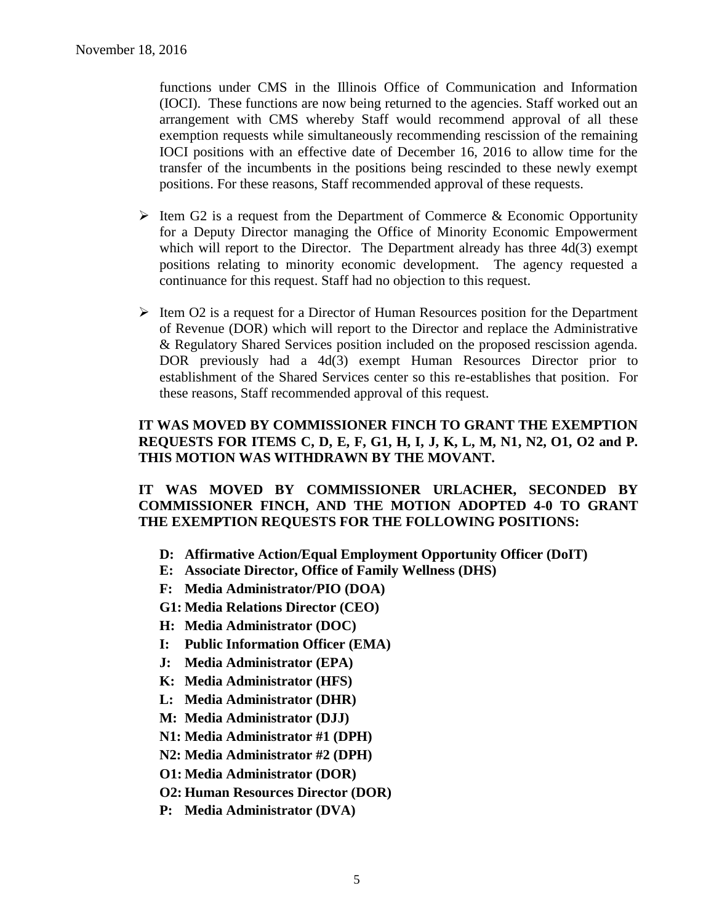functions under CMS in the Illinois Office of Communication and Information (IOCI). These functions are now being returned to the agencies. Staff worked out an arrangement with CMS whereby Staff would recommend approval of all these exemption requests while simultaneously recommending rescission of the remaining IOCI positions with an effective date of December 16, 2016 to allow time for the transfer of the incumbents in the positions being rescinded to these newly exempt positions. For these reasons, Staff recommended approval of these requests.

- $\triangleright$  Item G2 is a request from the Department of Commerce & Economic Opportunity for a Deputy Director managing the Office of Minority Economic Empowerment which will report to the Director. The Department already has three 4d(3) exempt positions relating to minority economic development. The agency requested a continuance for this request. Staff had no objection to this request.
- $\triangleright$  Item O2 is a request for a Director of Human Resources position for the Department of Revenue (DOR) which will report to the Director and replace the Administrative & Regulatory Shared Services position included on the proposed rescission agenda. DOR previously had a 4d(3) exempt Human Resources Director prior to establishment of the Shared Services center so this re-establishes that position. For these reasons, Staff recommended approval of this request.

### **IT WAS MOVED BY COMMISSIONER FINCH TO GRANT THE EXEMPTION REQUESTS FOR ITEMS C, D, E, F, G1, H, I, J, K, L, M, N1, N2, O1, O2 and P. THIS MOTION WAS WITHDRAWN BY THE MOVANT.**

### **IT WAS MOVED BY COMMISSIONER URLACHER, SECONDED BY COMMISSIONER FINCH, AND THE MOTION ADOPTED 4-0 TO GRANT THE EXEMPTION REQUESTS FOR THE FOLLOWING POSITIONS:**

- **D: Affirmative Action/Equal Employment Opportunity Officer (DoIT)**
- **E: Associate Director, Office of Family Wellness (DHS)**
- **F: Media Administrator/PIO (DOA)**
- **G1: Media Relations Director (CEO)**
- **H: Media Administrator (DOC)**
- **I: Public Information Officer (EMA)**
- **J: Media Administrator (EPA)**
- **K: Media Administrator (HFS)**
- **L: Media Administrator (DHR)**
- **M: Media Administrator (DJJ)**
- **N1: Media Administrator #1 (DPH)**
- **N2: Media Administrator #2 (DPH)**
- **O1: Media Administrator (DOR)**
- **O2: Human Resources Director (DOR)**
- **P: Media Administrator (DVA)**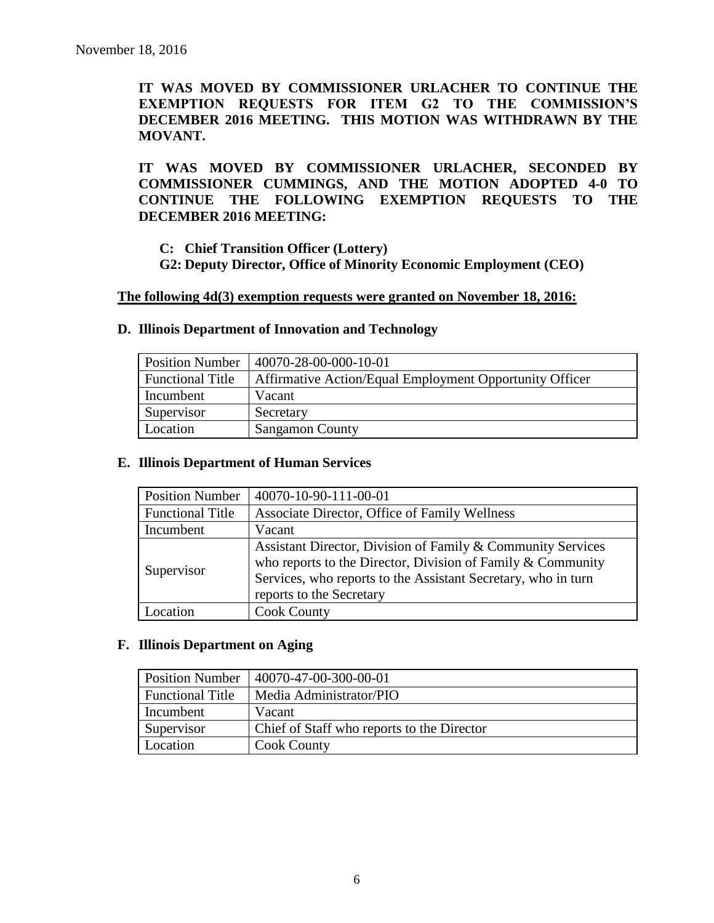**IT WAS MOVED BY COMMISSIONER URLACHER TO CONTINUE THE EXEMPTION REQUESTS FOR ITEM G2 TO THE COMMISSION'S DECEMBER 2016 MEETING. THIS MOTION WAS WITHDRAWN BY THE MOVANT.**

**IT WAS MOVED BY COMMISSIONER URLACHER, SECONDED BY COMMISSIONER CUMMINGS, AND THE MOTION ADOPTED 4-0 TO CONTINUE THE FOLLOWING EXEMPTION REQUESTS TO THE DECEMBER 2016 MEETING:**

**C: Chief Transition Officer (Lottery)**

**G2: Deputy Director, Office of Minority Economic Employment (CEO)**

#### **The following 4d(3) exemption requests were granted on November 18, 2016:**

| <b>Position Number</b>  | $ 40070-28-00-000-10-01$                                |
|-------------------------|---------------------------------------------------------|
| <b>Functional Title</b> | Affirmative Action/Equal Employment Opportunity Officer |
| Incumbent               | Vacant                                                  |
| Supervisor              | Secretary                                               |
| Location                | <b>Sangamon County</b>                                  |

### **D. Illinois Department of Innovation and Technology**

### **E. Illinois Department of Human Services**

| <b>Position Number</b>  | 40070-10-90-111-00-01                                                                                                                                                                                                   |
|-------------------------|-------------------------------------------------------------------------------------------------------------------------------------------------------------------------------------------------------------------------|
| <b>Functional Title</b> | Associate Director, Office of Family Wellness                                                                                                                                                                           |
| Incumbent               | Vacant                                                                                                                                                                                                                  |
| Supervisor              | Assistant Director, Division of Family & Community Services<br>who reports to the Director, Division of Family & Community<br>Services, who reports to the Assistant Secretary, who in turn<br>reports to the Secretary |
| Location                | <b>Cook County</b>                                                                                                                                                                                                      |

#### **F. Illinois Department on Aging**

| <b>Position Number</b>  | 40070-47-00-300-00-01                      |
|-------------------------|--------------------------------------------|
| <b>Functional Title</b> | Media Administrator/PIO                    |
| Incumbent               | Vacant                                     |
| Supervisor              | Chief of Staff who reports to the Director |
| Location                | <b>Cook County</b>                         |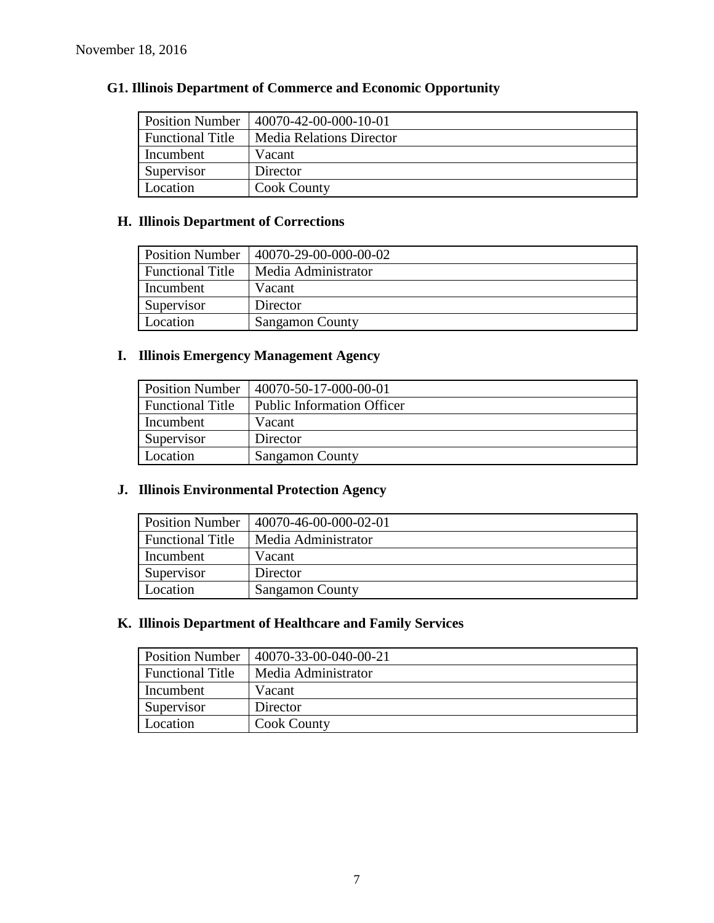| <b>Position Number</b>  | $140070 - 42 - 00 - 000 - 10 - 01$ |
|-------------------------|------------------------------------|
| <b>Functional Title</b> | <b>Media Relations Director</b>    |
| Incumbent               | Vacant                             |
| Supervisor              | Director                           |
| Location                | <b>Cook County</b>                 |

# **G1. Illinois Department of Commerce and Economic Opportunity**

# **H. Illinois Department of Corrections**

| <b>Position Number</b>  | 40070-29-00-000-00-02  |
|-------------------------|------------------------|
| <b>Functional Title</b> | Media Administrator    |
| Incumbent               | Vacant                 |
| Supervisor              | Director               |
| Location                | <b>Sangamon County</b> |

# **I. Illinois Emergency Management Agency**

| <b>Position Number</b>  | 40070-50-17-000-00-01             |
|-------------------------|-----------------------------------|
| <b>Functional Title</b> | <b>Public Information Officer</b> |
| Incumbent               | Vacant                            |
| Supervisor              | Director                          |
| Location                | <b>Sangamon County</b>            |

# **J. Illinois Environmental Protection Agency**

| <b>Position Number</b>  | 40070-46-00-000-02-01  |
|-------------------------|------------------------|
| <b>Functional Title</b> | Media Administrator    |
| Incumbent               | Vacant                 |
| Supervisor              | Director               |
| Location                | <b>Sangamon County</b> |

# **K. Illinois Department of Healthcare and Family Services**

| <b>Position Number</b>  | 40070-33-00-040-00-21 |
|-------------------------|-----------------------|
| <b>Functional Title</b> | Media Administrator   |
| Incumbent               | Vacant                |
| Supervisor              | Director              |
| Location                | <b>Cook County</b>    |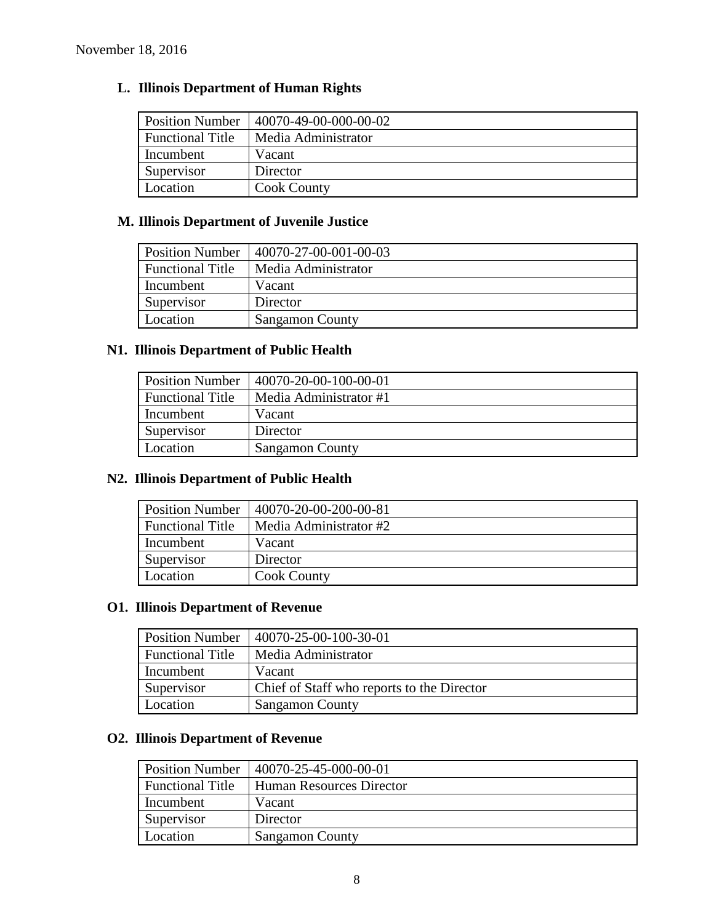# **L. Illinois Department of Human Rights**

| <b>Position Number</b>  | 40070-49-00-000-00-02 |
|-------------------------|-----------------------|
| <b>Functional Title</b> | Media Administrator   |
| Incumbent               | Vacant                |
| Supervisor              | Director              |
| Location                | <b>Cook County</b>    |

# **M. Illinois Department of Juvenile Justice**

| <b>Position Number</b>  | 40070-27-00-001-00-03  |
|-------------------------|------------------------|
| <b>Functional Title</b> | Media Administrator    |
| Incumbent               | Vacant                 |
| Supervisor              | Director               |
| Location                | <b>Sangamon County</b> |

# **N1. Illinois Department of Public Health**

| <b>Position Number</b>  | 40070-20-00-100-00-01  |
|-------------------------|------------------------|
| <b>Functional Title</b> | Media Administrator #1 |
| Incumbent               | Vacant                 |
| Supervisor              | Director               |
| Location                | <b>Sangamon County</b> |

# **N2. Illinois Department of Public Health**

| <b>Position Number</b>  | 40070-20-00-200-00-81  |  |
|-------------------------|------------------------|--|
| <b>Functional Title</b> | Media Administrator #2 |  |
| Incumbent               | Vacant                 |  |
| Supervisor              | Director               |  |
| Location                | <b>Cook County</b>     |  |

# **O1. Illinois Department of Revenue**

| <b>Position Number</b>  | 40070-25-00-100-30-01                      |
|-------------------------|--------------------------------------------|
| <b>Functional Title</b> | Media Administrator                        |
| Incumbent               | Vacant                                     |
| Supervisor              | Chief of Staff who reports to the Director |
| Location                | <b>Sangamon County</b>                     |

# **O2. Illinois Department of Revenue**

| <b>Position Number</b>  | 40070-25-45-000-00-01    |
|-------------------------|--------------------------|
| <b>Functional Title</b> | Human Resources Director |
| Incumbent               | Vacant                   |
| Supervisor              | Director                 |
| Location                | <b>Sangamon County</b>   |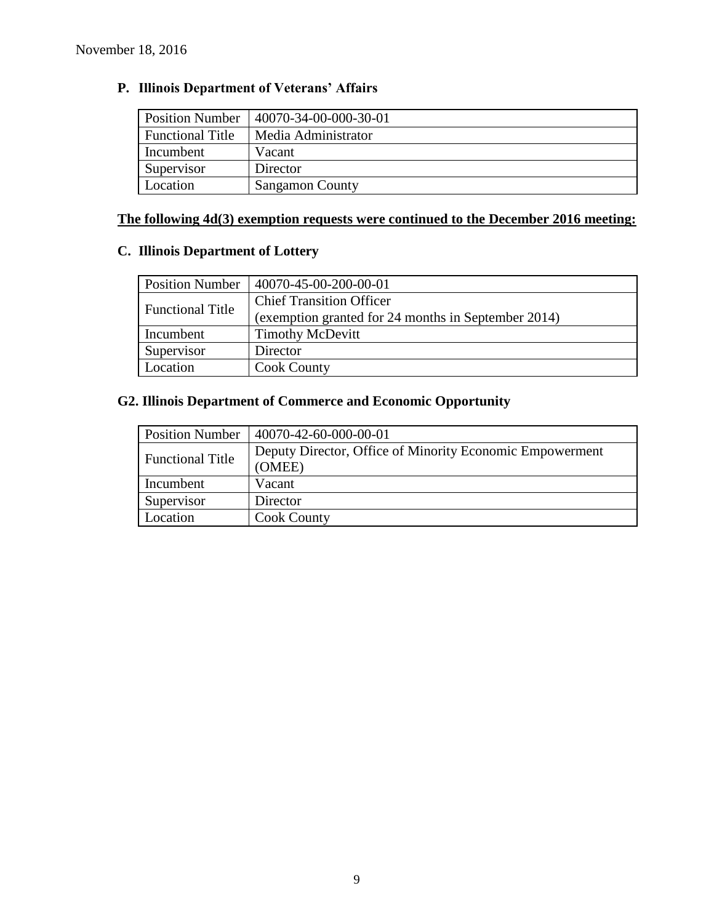# **P. Illinois Department of Veterans' Affairs**

| <b>Position Number</b>  | 40070-34-00-000-30-01  |
|-------------------------|------------------------|
| <b>Functional Title</b> | Media Administrator    |
| Incumbent               | Vacant                 |
| Supervisor              | Director               |
| Location                | <b>Sangamon County</b> |

# **The following 4d(3) exemption requests were continued to the December 2016 meeting:**

# **C. Illinois Department of Lottery**

| <b>Position Number</b>  | 40070-45-00-200-00-01                               |
|-------------------------|-----------------------------------------------------|
| <b>Functional Title</b> | <b>Chief Transition Officer</b>                     |
|                         | (exemption granted for 24 months in September 2014) |
| Incumbent               | <b>Timothy McDevitt</b>                             |
| Supervisor              | Director                                            |
| Location                | <b>Cook County</b>                                  |

# **G2. Illinois Department of Commerce and Economic Opportunity**

| <b>Position Number</b>  | 40070-42-60-000-00-01                                    |
|-------------------------|----------------------------------------------------------|
| <b>Functional Title</b> | Deputy Director, Office of Minority Economic Empowerment |
|                         | (OMEE)                                                   |
| Incumbent               | Vacant                                                   |
| Supervisor              | Director                                                 |
| Location                | <b>Cook County</b>                                       |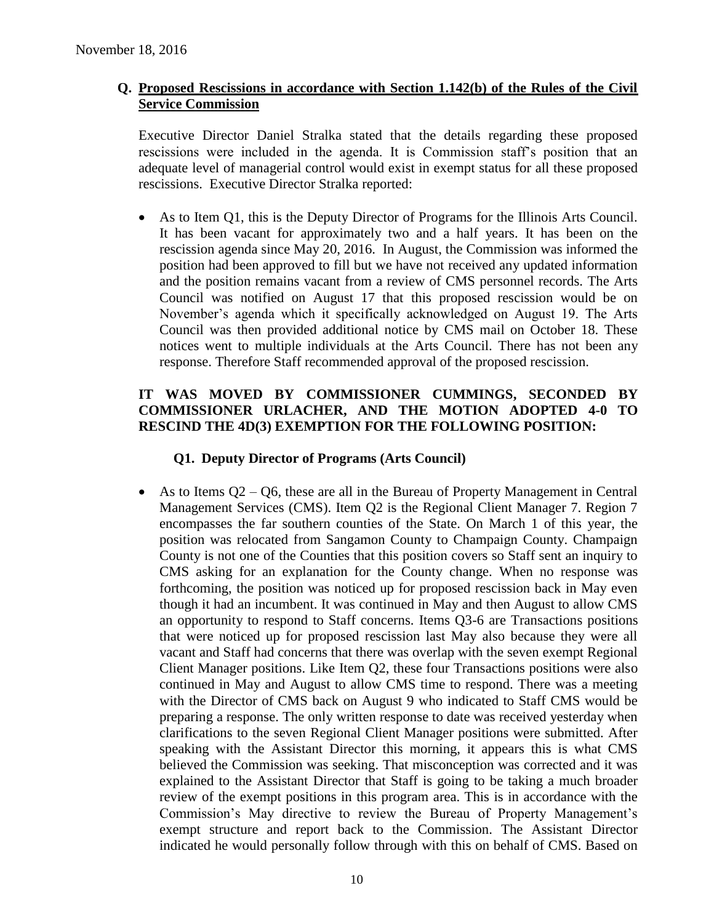### **Q. Proposed Rescissions in accordance with Section 1.142(b) of the Rules of the Civil Service Commission**

Executive Director Daniel Stralka stated that the details regarding these proposed rescissions were included in the agenda. It is Commission staff's position that an adequate level of managerial control would exist in exempt status for all these proposed rescissions. Executive Director Stralka reported:

 As to Item Q1, this is the Deputy Director of Programs for the Illinois Arts Council. It has been vacant for approximately two and a half years. It has been on the rescission agenda since May 20, 2016. In August, the Commission was informed the position had been approved to fill but we have not received any updated information and the position remains vacant from a review of CMS personnel records. The Arts Council was notified on August 17 that this proposed rescission would be on November's agenda which it specifically acknowledged on August 19. The Arts Council was then provided additional notice by CMS mail on October 18. These notices went to multiple individuals at the Arts Council. There has not been any response. Therefore Staff recommended approval of the proposed rescission.

# **IT WAS MOVED BY COMMISSIONER CUMMINGS, SECONDED BY COMMISSIONER URLACHER, AND THE MOTION ADOPTED 4-0 TO RESCIND THE 4D(3) EXEMPTION FOR THE FOLLOWING POSITION:**

# **Q1. Deputy Director of Programs (Arts Council)**

As to Items  $Q2 - Q6$ , these are all in the Bureau of Property Management in Central Management Services (CMS). Item Q2 is the Regional Client Manager 7. Region 7 encompasses the far southern counties of the State. On March 1 of this year, the position was relocated from Sangamon County to Champaign County. Champaign County is not one of the Counties that this position covers so Staff sent an inquiry to CMS asking for an explanation for the County change. When no response was forthcoming, the position was noticed up for proposed rescission back in May even though it had an incumbent. It was continued in May and then August to allow CMS an opportunity to respond to Staff concerns. Items Q3-6 are Transactions positions that were noticed up for proposed rescission last May also because they were all vacant and Staff had concerns that there was overlap with the seven exempt Regional Client Manager positions. Like Item Q2, these four Transactions positions were also continued in May and August to allow CMS time to respond. There was a meeting with the Director of CMS back on August 9 who indicated to Staff CMS would be preparing a response. The only written response to date was received yesterday when clarifications to the seven Regional Client Manager positions were submitted. After speaking with the Assistant Director this morning, it appears this is what CMS believed the Commission was seeking. That misconception was corrected and it was explained to the Assistant Director that Staff is going to be taking a much broader review of the exempt positions in this program area. This is in accordance with the Commission's May directive to review the Bureau of Property Management's exempt structure and report back to the Commission. The Assistant Director indicated he would personally follow through with this on behalf of CMS. Based on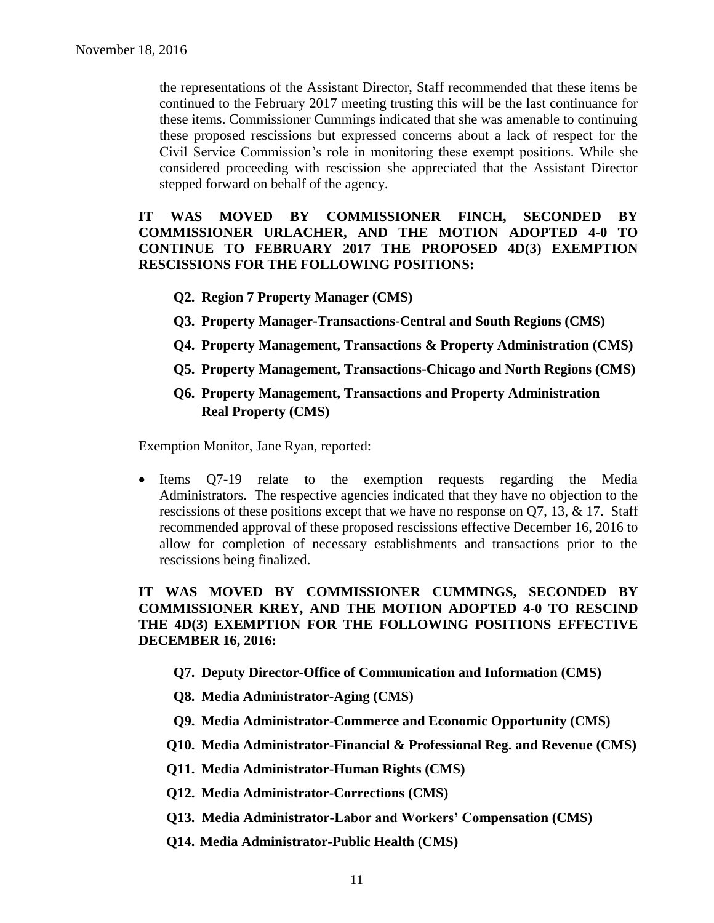the representations of the Assistant Director, Staff recommended that these items be continued to the February 2017 meeting trusting this will be the last continuance for these items. Commissioner Cummings indicated that she was amenable to continuing these proposed rescissions but expressed concerns about a lack of respect for the Civil Service Commission's role in monitoring these exempt positions. While she considered proceeding with rescission she appreciated that the Assistant Director stepped forward on behalf of the agency.

### **IT WAS MOVED BY COMMISSIONER FINCH, SECONDED BY COMMISSIONER URLACHER, AND THE MOTION ADOPTED 4-0 TO CONTINUE TO FEBRUARY 2017 THE PROPOSED 4D(3) EXEMPTION RESCISSIONS FOR THE FOLLOWING POSITIONS:**

- **Q2. Region 7 Property Manager (CMS)**
- **Q3. Property Manager-Transactions-Central and South Regions (CMS)**
- **Q4. Property Management, Transactions & Property Administration (CMS)**
- **Q5. Property Management, Transactions-Chicago and North Regions (CMS)**
- **Q6. Property Management, Transactions and Property Administration Real Property (CMS)**

Exemption Monitor, Jane Ryan, reported:

• Items Q7-19 relate to the exemption requests regarding the Media Administrators. The respective agencies indicated that they have no objection to the rescissions of these positions except that we have no response on Q7, 13, & 17. Staff recommended approval of these proposed rescissions effective December 16, 2016 to allow for completion of necessary establishments and transactions prior to the rescissions being finalized.

# **IT WAS MOVED BY COMMISSIONER CUMMINGS, SECONDED BY COMMISSIONER KREY, AND THE MOTION ADOPTED 4-0 TO RESCIND THE 4D(3) EXEMPTION FOR THE FOLLOWING POSITIONS EFFECTIVE DECEMBER 16, 2016:**

- **Q7. Deputy Director-Office of Communication and Information (CMS)**
- **Q8. Media Administrator-Aging (CMS)**
- **Q9. Media Administrator-Commerce and Economic Opportunity (CMS)**
- **Q10. Media Administrator-Financial & Professional Reg. and Revenue (CMS)**
- **Q11. Media Administrator-Human Rights (CMS)**
- **Q12. Media Administrator-Corrections (CMS)**
- **Q13. Media Administrator-Labor and Workers' Compensation (CMS)**
- **Q14. Media Administrator-Public Health (CMS)**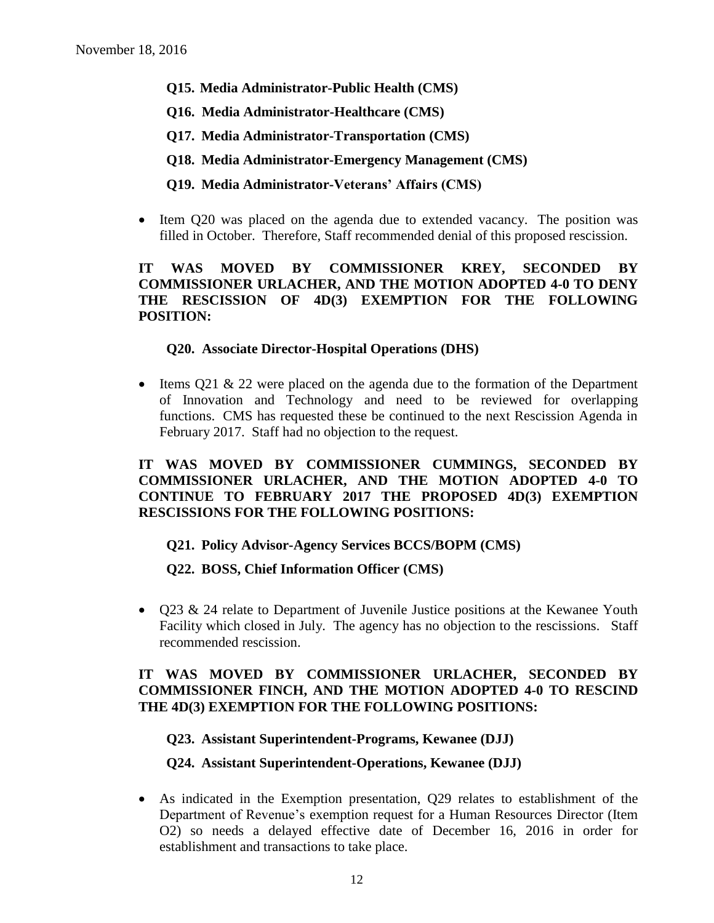- **Q15. Media Administrator-Public Health (CMS)**
- **Q16. Media Administrator-Healthcare (CMS)**
- **Q17. Media Administrator-Transportation (CMS)**
- **Q18. Media Administrator-Emergency Management (CMS)**

### **Q19. Media Administrator-Veterans' Affairs (CMS)**

 Item Q20 was placed on the agenda due to extended vacancy. The position was filled in October. Therefore, Staff recommended denial of this proposed rescission.

# **IT WAS MOVED BY COMMISSIONER KREY, SECONDED BY COMMISSIONER URLACHER, AND THE MOTION ADOPTED 4-0 TO DENY THE RESCISSION OF 4D(3) EXEMPTION FOR THE FOLLOWING POSITION:**

#### **Q20. Associate Director-Hospital Operations (DHS)**

• Items Q21 & 22 were placed on the agenda due to the formation of the Department of Innovation and Technology and need to be reviewed for overlapping functions. CMS has requested these be continued to the next Rescission Agenda in February 2017. Staff had no objection to the request.

# **IT WAS MOVED BY COMMISSIONER CUMMINGS, SECONDED BY COMMISSIONER URLACHER, AND THE MOTION ADOPTED 4-0 TO CONTINUE TO FEBRUARY 2017 THE PROPOSED 4D(3) EXEMPTION RESCISSIONS FOR THE FOLLOWING POSITIONS:**

#### **Q21. Policy Advisor-Agency Services BCCS/BOPM (CMS)**

#### **Q22. BOSS, Chief Information Officer (CMS)**

• Q23 & 24 relate to Department of Juvenile Justice positions at the Kewanee Youth Facility which closed in July. The agency has no objection to the rescissions. Staff recommended rescission.

### **IT WAS MOVED BY COMMISSIONER URLACHER, SECONDED BY COMMISSIONER FINCH, AND THE MOTION ADOPTED 4-0 TO RESCIND THE 4D(3) EXEMPTION FOR THE FOLLOWING POSITIONS:**

#### **Q23. Assistant Superintendent-Programs, Kewanee (DJJ)**

#### **Q24. Assistant Superintendent-Operations, Kewanee (DJJ)**

 As indicated in the Exemption presentation, Q29 relates to establishment of the Department of Revenue's exemption request for a Human Resources Director (Item O2) so needs a delayed effective date of December 16, 2016 in order for establishment and transactions to take place.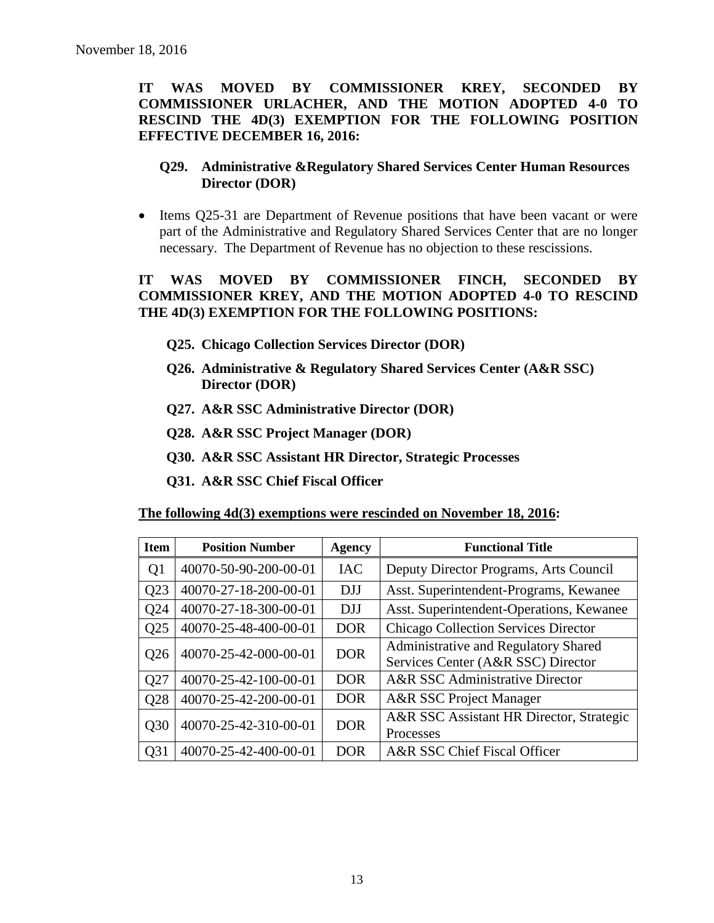**IT WAS MOVED BY COMMISSIONER KREY, SECONDED BY COMMISSIONER URLACHER, AND THE MOTION ADOPTED 4-0 TO RESCIND THE 4D(3) EXEMPTION FOR THE FOLLOWING POSITION EFFECTIVE DECEMBER 16, 2016:**

# **Q29. Administrative &Regulatory Shared Services Center Human Resources Director (DOR)**

• Items Q25-31 are Department of Revenue positions that have been vacant or were part of the Administrative and Regulatory Shared Services Center that are no longer necessary. The Department of Revenue has no objection to these rescissions.

# **IT WAS MOVED BY COMMISSIONER FINCH, SECONDED BY COMMISSIONER KREY, AND THE MOTION ADOPTED 4-0 TO RESCIND THE 4D(3) EXEMPTION FOR THE FOLLOWING POSITIONS:**

- **Q25. Chicago Collection Services Director (DOR)**
- **Q26. Administrative & Regulatory Shared Services Center (A&R SSC) Director (DOR)**
- **Q27. A&R SSC Administrative Director (DOR)**
- **Q28. A&R SSC Project Manager (DOR)**
- **Q30. A&R SSC Assistant HR Director, Strategic Processes**
- **Q31. A&R SSC Chief Fiscal Officer**

| <b>Item</b>     | <b>Position Number</b> | <b>Agency</b> | <b>Functional Title</b>                                                    |  |
|-----------------|------------------------|---------------|----------------------------------------------------------------------------|--|
| Q <sub>1</sub>  | 40070-50-90-200-00-01  | <b>IAC</b>    | Deputy Director Programs, Arts Council                                     |  |
| Q23             | 40070-27-18-200-00-01  | <b>DJJ</b>    | Asst. Superintendent-Programs, Kewanee                                     |  |
| Q24             | 40070-27-18-300-00-01  | <b>DJJ</b>    | Asst. Superintendent-Operations, Kewanee                                   |  |
| Q25             | 40070-25-48-400-00-01  | <b>DOR</b>    | <b>Chicago Collection Services Director</b>                                |  |
| Q <sub>26</sub> | 40070-25-42-000-00-01  | <b>DOR</b>    | Administrative and Regulatory Shared<br>Services Center (A&R SSC) Director |  |
| Q27             | 40070-25-42-100-00-01  | <b>DOR</b>    | A&R SSC Administrative Director                                            |  |
| Q28             | 40070-25-42-200-00-01  | <b>DOR</b>    | A&R SSC Project Manager                                                    |  |
| Q30             | 40070-25-42-310-00-01  | <b>DOR</b>    | A&R SSC Assistant HR Director, Strategic<br>Processes                      |  |
| Q31             | 40070-25-42-400-00-01  | <b>DOR</b>    | A&R SSC Chief Fiscal Officer                                               |  |

**The following 4d(3) exemptions were rescinded on November 18, 2016:**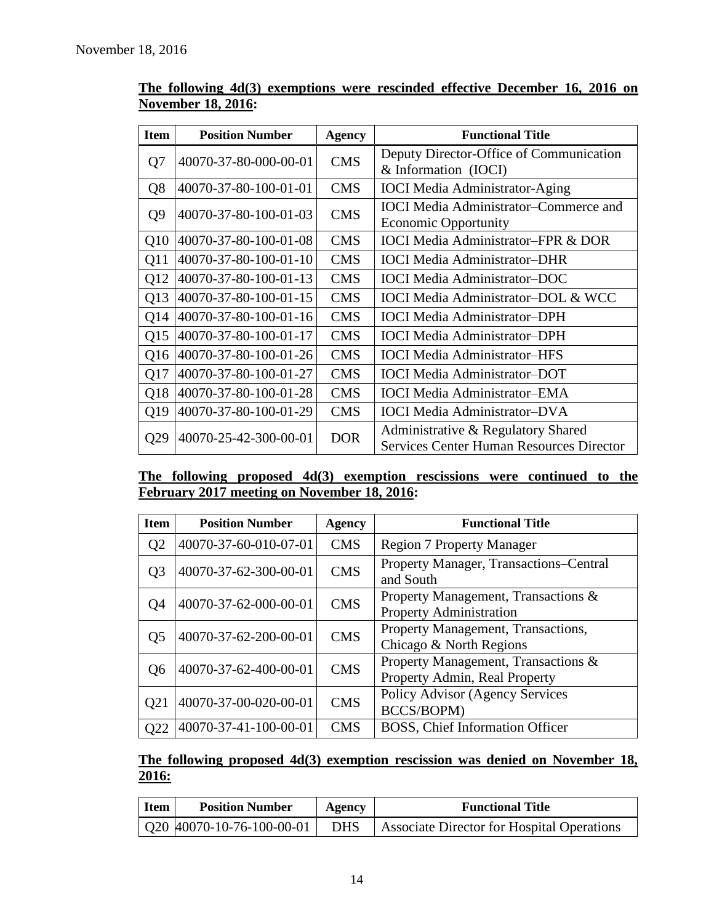| <b>Item</b>     | <b>Position Number</b> | <b>Agency</b> | <b>Functional Title</b>                                                               |  |  |
|-----------------|------------------------|---------------|---------------------------------------------------------------------------------------|--|--|
| Q7              | 40070-37-80-000-00-01  | <b>CMS</b>    | Deputy Director-Office of Communication<br>& Information (IOCI)                       |  |  |
| Q <sub>8</sub>  | 40070-37-80-100-01-01  | <b>CMS</b>    | <b>IOCI</b> Media Administrator-Aging                                                 |  |  |
| Q <sub>9</sub>  | 40070-37-80-100-01-03  | <b>CMS</b>    | <b>IOCI</b> Media Administrator-Commerce and<br><b>Economic Opportunity</b>           |  |  |
| O <sub>10</sub> | 40070-37-80-100-01-08  | <b>CMS</b>    | <b>IOCI Media Administrator-FPR &amp; DOR</b>                                         |  |  |
| Q11             | 40070-37-80-100-01-10  | <b>CMS</b>    | <b>IOCI</b> Media Administrator-DHR                                                   |  |  |
| Q12             | 40070-37-80-100-01-13  | <b>CMS</b>    | <b>IOCI</b> Media Administrator-DOC                                                   |  |  |
| Q13             | 40070-37-80-100-01-15  | <b>CMS</b>    | <b>IOCI</b> Media Administrator-DOL & WCC                                             |  |  |
| Q14             | 40070-37-80-100-01-16  | <b>CMS</b>    | <b>IOCI</b> Media Administrator-DPH                                                   |  |  |
| Q15             | 40070-37-80-100-01-17  | <b>CMS</b>    | <b>IOCI</b> Media Administrator-DPH                                                   |  |  |
| Q16             | 40070-37-80-100-01-26  | <b>CMS</b>    | <b>IOCI</b> Media Administrator-HFS                                                   |  |  |
| Q17             | 40070-37-80-100-01-27  | <b>CMS</b>    | <b>IOCI</b> Media Administrator-DOT                                                   |  |  |
| Q18             | 40070-37-80-100-01-28  | <b>CMS</b>    | <b>IOCI</b> Media Administrator-EMA                                                   |  |  |
| Q19             | 40070-37-80-100-01-29  | <b>CMS</b>    | <b>IOCI</b> Media Administrator-DVA                                                   |  |  |
| Q29             | 40070-25-42-300-00-01  | <b>DOR</b>    | Administrative & Regulatory Shared<br><b>Services Center Human Resources Director</b> |  |  |

# **The following 4d(3) exemptions were rescinded effective December 16, 2016 on November 18, 2016:**

**The following proposed 4d(3) exemption rescissions were continued to the February 2017 meeting on November 18, 2016:**

| <b>Item</b>      | <b>Position Number</b> | <b>Agency</b>                                                                       | <b>Functional Title</b>                             |  |  |
|------------------|------------------------|-------------------------------------------------------------------------------------|-----------------------------------------------------|--|--|
| Q <sub>2</sub>   | 40070-37-60-010-07-01  | <b>CMS</b>                                                                          | <b>Region 7 Property Manager</b>                    |  |  |
| Q <sub>3</sub>   | 40070-37-62-300-00-01  | <b>CMS</b>                                                                          | Property Manager, Transactions–Central<br>and South |  |  |
| Q4               | 40070-37-62-000-00-01  | Property Management, Transactions &<br><b>CMS</b><br><b>Property Administration</b> |                                                     |  |  |
| Q <sub>5</sub>   | 40070-37-62-200-00-01  | Property Management, Transactions,<br><b>CMS</b><br>Chicago & North Regions         |                                                     |  |  |
| Q <sub>6</sub>   | 40070-37-62-400-00-01  | Property Management, Transactions &<br><b>CMS</b><br>Property Admin, Real Property  |                                                     |  |  |
| Q <sub>2</sub> 1 | 40070-37-00-020-00-01  | Policy Advisor (Agency Services<br><b>CMS</b><br>BCCS/BOPM)                         |                                                     |  |  |
| Q22              | 40070-37-41-100-00-01  | <b>CMS</b>                                                                          | BOSS, Chief Information Officer                     |  |  |

# **The following proposed 4d(3) exemption rescission was denied on November 18, 2016:**

| <b>Item</b> | <b>Position Number</b>                    | Agency | <b>Functional Title</b>                          |
|-------------|-------------------------------------------|--------|--------------------------------------------------|
|             | $\vert$ Q20 $\vert$ 40070-10-76-100-00-01 |        | DHS   Associate Director for Hospital Operations |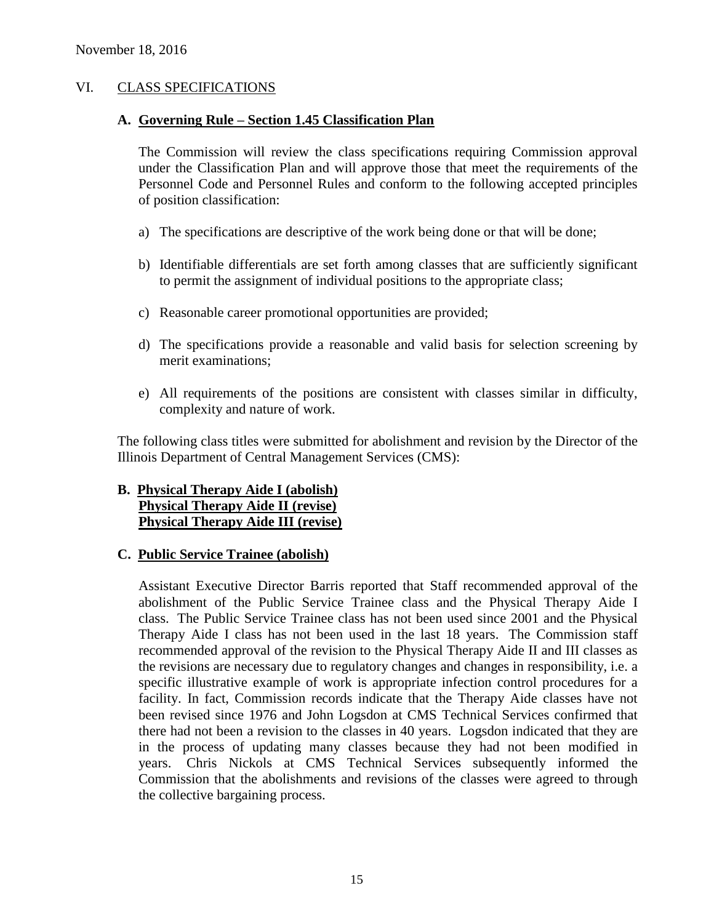### VI. CLASS SPECIFICATIONS

#### **A. Governing Rule – Section 1.45 Classification Plan**

The Commission will review the class specifications requiring Commission approval under the Classification Plan and will approve those that meet the requirements of the Personnel Code and Personnel Rules and conform to the following accepted principles of position classification:

- a) The specifications are descriptive of the work being done or that will be done;
- b) Identifiable differentials are set forth among classes that are sufficiently significant to permit the assignment of individual positions to the appropriate class;
- c) Reasonable career promotional opportunities are provided;
- d) The specifications provide a reasonable and valid basis for selection screening by merit examinations;
- e) All requirements of the positions are consistent with classes similar in difficulty, complexity and nature of work.

The following class titles were submitted for abolishment and revision by the Director of the Illinois Department of Central Management Services (CMS):

### **B. Physical Therapy Aide I (abolish) Physical Therapy Aide II (revise) Physical Therapy Aide III (revise)**

#### **C. Public Service Trainee (abolish)**

Assistant Executive Director Barris reported that Staff recommended approval of the abolishment of the Public Service Trainee class and the Physical Therapy Aide I class. The Public Service Trainee class has not been used since 2001 and the Physical Therapy Aide I class has not been used in the last 18 years. The Commission staff recommended approval of the revision to the Physical Therapy Aide II and III classes as the revisions are necessary due to regulatory changes and changes in responsibility, i.e. a specific illustrative example of work is appropriate infection control procedures for a facility. In fact, Commission records indicate that the Therapy Aide classes have not been revised since 1976 and John Logsdon at CMS Technical Services confirmed that there had not been a revision to the classes in 40 years. Logsdon indicated that they are in the process of updating many classes because they had not been modified in years. Chris Nickols at CMS Technical Services subsequently informed the Commission that the abolishments and revisions of the classes were agreed to through the collective bargaining process.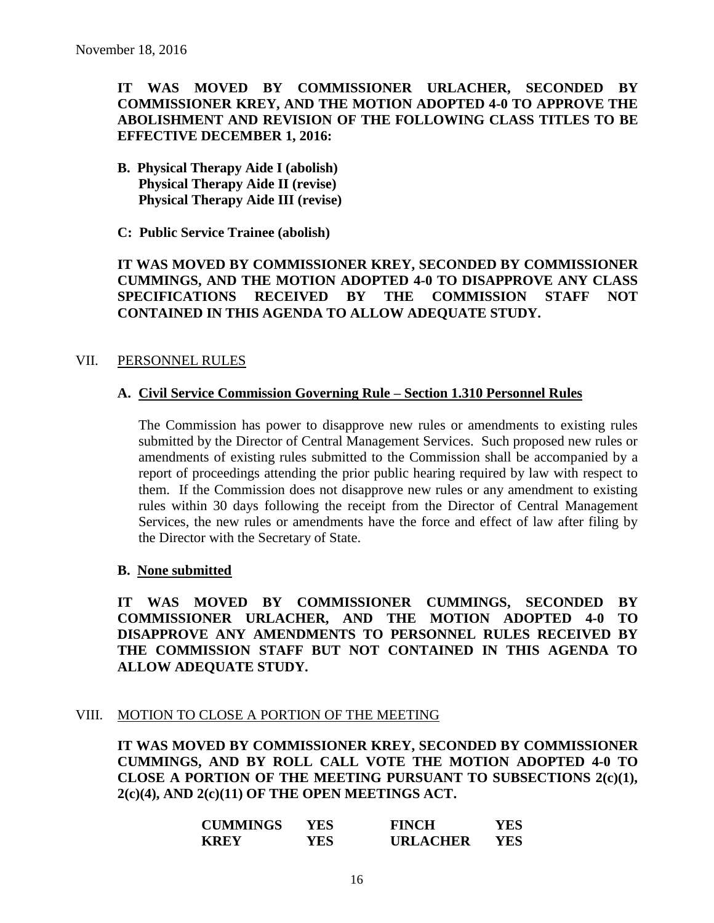# **IT WAS MOVED BY COMMISSIONER URLACHER, SECONDED BY COMMISSIONER KREY, AND THE MOTION ADOPTED 4-0 TO APPROVE THE ABOLISHMENT AND REVISION OF THE FOLLOWING CLASS TITLES TO BE EFFECTIVE DECEMBER 1, 2016:**

**B. Physical Therapy Aide I (abolish) Physical Therapy Aide II (revise) Physical Therapy Aide III (revise)**

**C: Public Service Trainee (abolish)**

**IT WAS MOVED BY COMMISSIONER KREY, SECONDED BY COMMISSIONER CUMMINGS, AND THE MOTION ADOPTED 4-0 TO DISAPPROVE ANY CLASS SPECIFICATIONS RECEIVED BY THE COMMISSION STAFF NOT CONTAINED IN THIS AGENDA TO ALLOW ADEQUATE STUDY.** 

#### VII. PERSONNEL RULES

### **A. Civil Service Commission Governing Rule – Section 1.310 Personnel Rules**

The Commission has power to disapprove new rules or amendments to existing rules submitted by the Director of Central Management Services. Such proposed new rules or amendments of existing rules submitted to the Commission shall be accompanied by a report of proceedings attending the prior public hearing required by law with respect to them. If the Commission does not disapprove new rules or any amendment to existing rules within 30 days following the receipt from the Director of Central Management Services, the new rules or amendments have the force and effect of law after filing by the Director with the Secretary of State.

#### **B. None submitted**

**IT WAS MOVED BY COMMISSIONER CUMMINGS, SECONDED BY COMMISSIONER URLACHER, AND THE MOTION ADOPTED 4-0 TO DISAPPROVE ANY AMENDMENTS TO PERSONNEL RULES RECEIVED BY THE COMMISSION STAFF BUT NOT CONTAINED IN THIS AGENDA TO ALLOW ADEQUATE STUDY.** 

# VIII. MOTION TO CLOSE A PORTION OF THE MEETING

**IT WAS MOVED BY COMMISSIONER KREY, SECONDED BY COMMISSIONER CUMMINGS, AND BY ROLL CALL VOTE THE MOTION ADOPTED 4-0 TO CLOSE A PORTION OF THE MEETING PURSUANT TO SUBSECTIONS 2(c)(1), 2(c)(4), AND 2(c)(11) OF THE OPEN MEETINGS ACT.**

| <b>CUMMINGS</b> | YES  | <b>FINCH</b>    | YES |
|-----------------|------|-----------------|-----|
| <b>KREY</b>     | YES. | <b>URLACHER</b> | YES |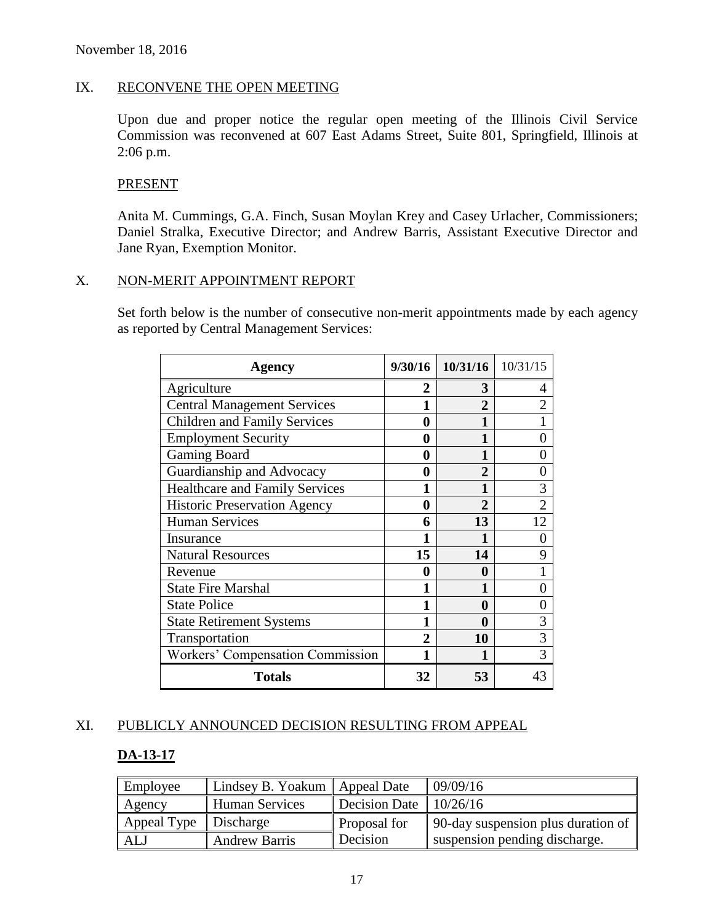### IX. RECONVENE THE OPEN MEETING

Upon due and proper notice the regular open meeting of the Illinois Civil Service Commission was reconvened at 607 East Adams Street, Suite 801, Springfield, Illinois at 2:06 p.m.

### PRESENT

Anita M. Cummings, G.A. Finch, Susan Moylan Krey and Casey Urlacher, Commissioners; Daniel Stralka, Executive Director; and Andrew Barris, Assistant Executive Director and Jane Ryan, Exemption Monitor.

#### X. NON-MERIT APPOINTMENT REPORT

Set forth below is the number of consecutive non-merit appointments made by each agency as reported by Central Management Services:

| <b>Agency</b>                         | 9/30/16 | 10/31/16              | 10/31/15       |
|---------------------------------------|---------|-----------------------|----------------|
| Agriculture                           | 2       | 3                     | 4              |
| <b>Central Management Services</b>    |         | 2                     | $\overline{2}$ |
| <b>Children and Family Services</b>   | 0       | $\blacksquare$        | 1              |
| <b>Employment Security</b>            | 0       |                       | 0              |
| <b>Gaming Board</b>                   | 0       |                       | 0              |
| Guardianship and Advocacy             | 0       | $\mathcal{D}_{\cdot}$ | 0              |
| <b>Healthcare and Family Services</b> | 1       |                       | 3              |
| <b>Historic Preservation Agency</b>   | 0       | $\mathcal{D}_{\cdot}$ | $\overline{2}$ |
| <b>Human Services</b>                 | 6       | 13                    | 12             |
| Insurance                             | 1       |                       | 0              |
| <b>Natural Resources</b>              | 15      | 14                    | 9              |
| Revenue                               | 0       | 0                     |                |
| <b>State Fire Marshal</b>             | 1       | 1                     | 0              |
| <b>State Police</b>                   | 1       | 0                     | 0              |
| <b>State Retirement Systems</b>       | 1       | $\bf{0}$              | 3              |
| Transportation                        | 2       | 10                    | 3              |
| Workers' Compensation Commission      |         |                       | 3              |
| <b>Totals</b>                         | 32      | 53                    | 43             |

# XI. PUBLICLY ANNOUNCED DECISION RESULTING FROM APPEAL

#### **DA-13-17**

| Employee                | Lindsey B. Yoakum   Appeal Date |                          | 09/09/16                           |
|-------------------------|---------------------------------|--------------------------|------------------------------------|
| Agency                  | <b>Human Services</b>           | Decision Date $10/26/16$ |                                    |
| Appeal Type   Discharge |                                 | Proposal for             | 90-day suspension plus duration of |
| ALJ                     | <b>Andrew Barris</b>            | Decision                 | suspension pending discharge.      |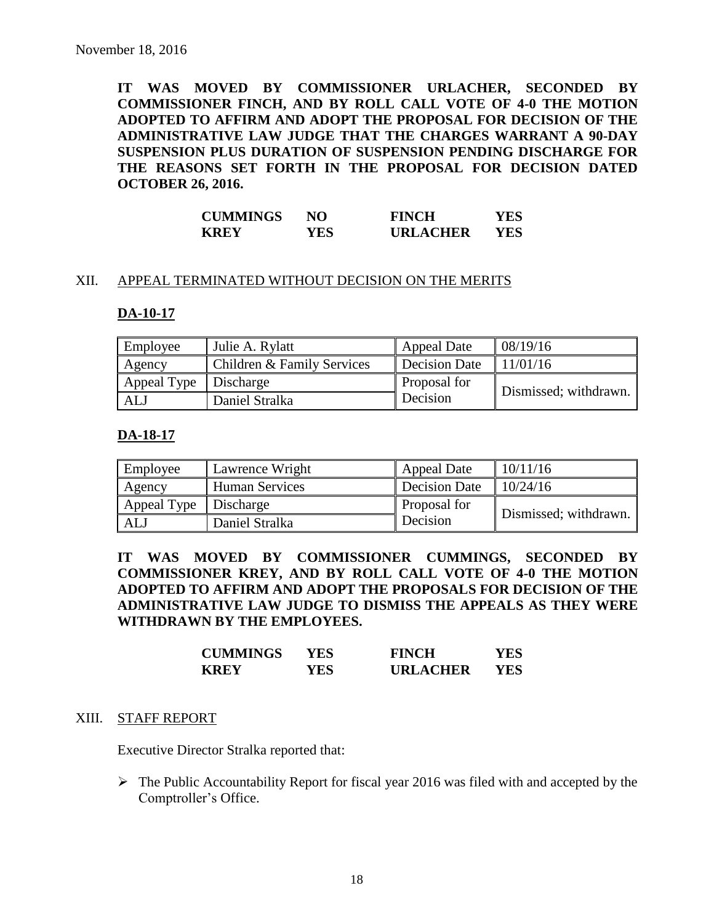**IT WAS MOVED BY COMMISSIONER URLACHER, SECONDED BY COMMISSIONER FINCH, AND BY ROLL CALL VOTE OF 4-0 THE MOTION ADOPTED TO AFFIRM AND ADOPT THE PROPOSAL FOR DECISION OF THE ADMINISTRATIVE LAW JUDGE THAT THE CHARGES WARRANT A 90-DAY SUSPENSION PLUS DURATION OF SUSPENSION PENDING DISCHARGE FOR THE REASONS SET FORTH IN THE PROPOSAL FOR DECISION DATED OCTOBER 26, 2016.**

| <b>CUMMINGS</b> | NO   | <b>FINCH</b>    | YES  |
|-----------------|------|-----------------|------|
| <b>KREY</b>     | YES. | <b>URLACHER</b> | YES. |

#### XII. APPEAL TERMINATED WITHOUT DECISION ON THE MERITS

#### **DA-10-17**

| Employee                | Julie A. Rylatt            | <b>Appeal Date</b> | 08/19/16              |
|-------------------------|----------------------------|--------------------|-----------------------|
| Agency                  | Children & Family Services | Decision Date      | 11/01/16              |
| Appeal Type   Discharge |                            | Proposal for       | Dismissed; withdrawn. |
| ALJ                     | Daniel Stralka             | Decision           |                       |

#### **DA-18-17**

| Employee    | Lawrence Wright       | <b>Appeal Date</b>   | 10/11/16              |
|-------------|-----------------------|----------------------|-----------------------|
| Agency      | <b>Human Services</b> | <b>Decision Date</b> | 10/24/16              |
| Appeal Type | Discharge             | Proposal for         | Dismissed; withdrawn. |
| <b>ALJ</b>  | Daniel Stralka        | Decision             |                       |

**IT WAS MOVED BY COMMISSIONER CUMMINGS, SECONDED BY COMMISSIONER KREY, AND BY ROLL CALL VOTE OF 4-0 THE MOTION ADOPTED TO AFFIRM AND ADOPT THE PROPOSALS FOR DECISION OF THE ADMINISTRATIVE LAW JUDGE TO DISMISS THE APPEALS AS THEY WERE WITHDRAWN BY THE EMPLOYEES.**

| <b>CUMMINGS</b> | YES  | <b>FINCH</b>    | YES |
|-----------------|------|-----------------|-----|
| <b>KREY</b>     | YES. | <b>URLACHER</b> | YES |

#### XIII. STAFF REPORT

Executive Director Stralka reported that:

 $\triangleright$  The Public Accountability Report for fiscal year 2016 was filed with and accepted by the Comptroller's Office.